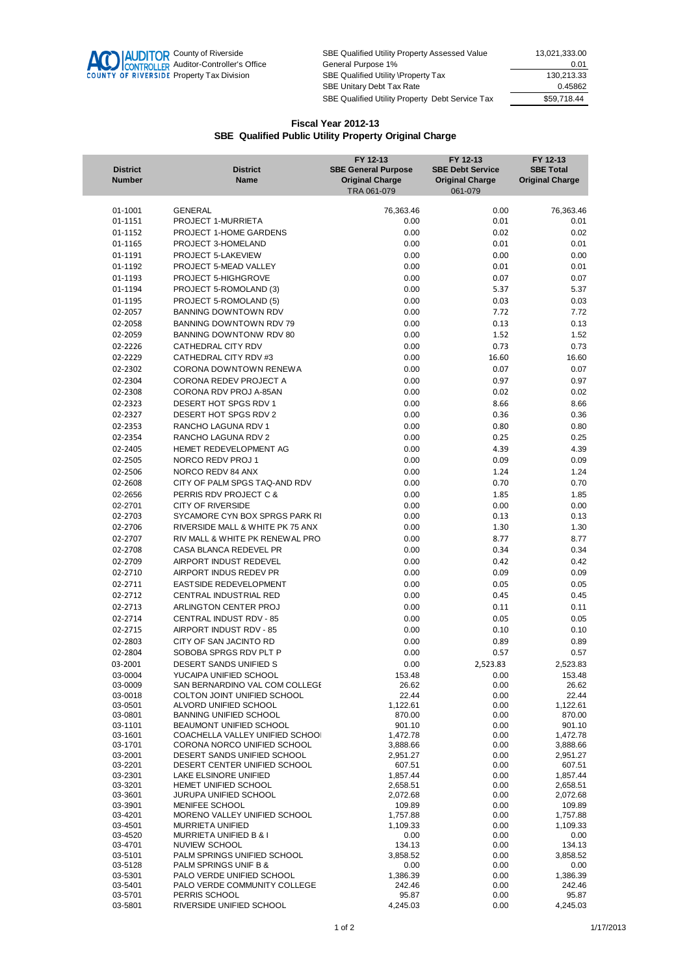

SBE Qualified Utility Property Assessed Value 13,021,333.00 **AUDITOR** County of Riverside SBE Qualified Utility Property Assessed Value 13,021,333.00<br>
CONTROLLER Auditor-Controller's Office General Purpose 1% 0.01<br>
SBE Qualified Utility \Property Tax 130,213.33<br>
SBE Qualified Utili Property Tax 130,213.33<br>
SBE Unitary Debt Tax Rate 130,213.33<br>
CA5862 SBE Unitary Debt Tax Rate SBE Qualified Utility Property Debt Service Tax \$59,718.44

## **Fiscal Year 2012-13 SBE Qualified Public Utility Property Original Charge**

| <b>District</b><br><b>Number</b> | <b>District</b><br><b>Name</b>                              | FY 12-13<br><b>SBE General Purpose</b><br><b>Original Charge</b><br>TRA 061-079 | FY 12-13<br><b>SBE Debt Service</b><br><b>Original Charge</b><br>061-079 | FY 12-13<br><b>SBE Total</b><br><b>Original Charge</b> |
|----------------------------------|-------------------------------------------------------------|---------------------------------------------------------------------------------|--------------------------------------------------------------------------|--------------------------------------------------------|
| 01-1001                          | <b>GENERAL</b>                                              | 76,363.46                                                                       | 0.00                                                                     | 76,363.46                                              |
| 01-1151                          | PROJECT 1-MURRIETA                                          | 0.00                                                                            | 0.01                                                                     | 0.01                                                   |
| 01-1152                          | PROJECT 1-HOME GARDENS                                      | 0.00                                                                            | 0.02                                                                     | 0.02                                                   |
| 01-1165                          | PROJECT 3-HOMELAND                                          | 0.00                                                                            | 0.01                                                                     | 0.01                                                   |
| 01-1191                          | PROJECT 5-LAKEVIEW                                          | 0.00                                                                            | 0.00                                                                     | 0.00                                                   |
| 01-1192                          | PROJECT 5-MEAD VALLEY<br>PROJECT 5-HIGHGROVE                | 0.00                                                                            | 0.01                                                                     | 0.01                                                   |
| 01-1193<br>01-1194               | PROJECT 5-ROMOLAND (3)                                      | 0.00<br>0.00                                                                    | 0.07<br>5.37                                                             | 0.07<br>5.37                                           |
| 01-1195                          | PROJECT 5-ROMOLAND (5)                                      | 0.00                                                                            | 0.03                                                                     | 0.03                                                   |
| 02-2057                          | BANNING DOWNTOWN RDV                                        | 0.00                                                                            | 7.72                                                                     | 7.72                                                   |
| 02-2058                          | BANNING DOWNTOWN RDV 79                                     | 0.00                                                                            | 0.13                                                                     | 0.13                                                   |
| 02-2059                          | BANNING DOWNTONW RDV 80                                     | 0.00                                                                            | 1.52                                                                     | 1.52                                                   |
| 02-2226                          | CATHEDRAL CITY RDV                                          | 0.00                                                                            | 0.73                                                                     | 0.73                                                   |
| 02-2229                          | CATHEDRAL CITY RDV #3                                       | 0.00                                                                            | 16.60                                                                    | 16.60                                                  |
| 02-2302                          | CORONA DOWNTOWN RENEWA                                      | 0.00                                                                            | 0.07                                                                     | 0.07                                                   |
| 02-2304                          | CORONA REDEV PROJECT A                                      | 0.00                                                                            | 0.97                                                                     | 0.97                                                   |
| 02-2308                          | CORONA RDV PROJ A-85AN                                      | 0.00                                                                            | 0.02                                                                     | 0.02                                                   |
| 02-2323                          | DESERT HOT SPGS RDV 1                                       | 0.00                                                                            | 8.66                                                                     | 8.66                                                   |
| 02-2327                          | DESERT HOT SPGS RDV 2                                       | 0.00                                                                            | 0.36                                                                     | 0.36                                                   |
| 02-2353<br>02-2354               | RANCHO LAGUNA RDV 1<br>RANCHO LAGUNA RDV 2                  | 0.00<br>0.00                                                                    | 0.80<br>0.25                                                             | 0.80<br>0.25                                           |
| 02-2405                          | HEMET REDEVELOPMENT AG                                      | 0.00                                                                            | 4.39                                                                     | 4.39                                                   |
| 02-2505                          | NORCO REDV PROJ 1                                           | 0.00                                                                            | 0.09                                                                     | 0.09                                                   |
| 02-2506                          | NORCO REDV 84 ANX                                           | 0.00                                                                            | 1.24                                                                     | 1.24                                                   |
| 02-2608                          | CITY OF PALM SPGS TAQ-AND RDV                               | 0.00                                                                            | 0.70                                                                     | 0.70                                                   |
| 02-2656                          | PERRIS RDV PROJECT C &                                      | 0.00                                                                            | 1.85                                                                     | 1.85                                                   |
| 02-2701                          | <b>CITY OF RIVERSIDE</b>                                    | 0.00                                                                            | 0.00                                                                     | 0.00                                                   |
| 02-2703                          | SYCAMORE CYN BOX SPRGS PARK RI                              | 0.00                                                                            | 0.13                                                                     | 0.13                                                   |
| 02-2706                          | RIVERSIDE MALL & WHITE PK 75 ANX                            | 0.00                                                                            | 1.30                                                                     | 1.30                                                   |
| 02-2707                          | RIV MALL & WHITE PK RENEWAL PRO.                            | 0.00                                                                            | 8.77                                                                     | 8.77                                                   |
| 02-2708                          | CASA BLANCA REDEVEL PR                                      | 0.00                                                                            | 0.34                                                                     | 0.34                                                   |
| 02-2709                          | AIRPORT INDUST REDEVEL                                      | 0.00                                                                            | 0.42                                                                     | 0.42                                                   |
| 02-2710                          | AIRPORT INDUS REDEV PR                                      | 0.00                                                                            | 0.09                                                                     | 0.09                                                   |
| 02-2711<br>02-2712               | EASTSIDE REDEVELOPMENT<br>CENTRAL INDUSTRIAL RED            | 0.00<br>0.00                                                                    | 0.05<br>0.45                                                             | 0.05<br>0.45                                           |
| 02-2713                          | ARLINGTON CENTER PROJ                                       | 0.00                                                                            | 0.11                                                                     | 0.11                                                   |
| 02-2714                          | CENTRAL INDUST RDV - 85                                     | 0.00                                                                            | 0.05                                                                     | 0.05                                                   |
| 02-2715                          | AIRPORT INDUST RDV - 85                                     | 0.00                                                                            | 0.10                                                                     | 0.10                                                   |
| 02-2803                          | CITY OF SAN JACINTO RD                                      | 0.00                                                                            | 0.89                                                                     | 0.89                                                   |
| 02-2804                          | SOBOBA SPRGS RDV PLT P                                      | 0.00                                                                            | 0.57                                                                     | 0.57                                                   |
| 03-2001                          | DESERT SANDS UNIFIED S                                      | 0.00                                                                            | 2,523.83                                                                 | 2,523.83                                               |
| 03-0004                          | YUCAIPA UNIFIED SCHOOL                                      | 153.48                                                                          | 0.00                                                                     | 153.48                                                 |
| 03-0009                          | SAN BERNARDINO VAL COM COLLEGE                              | 26.62                                                                           | 0.00                                                                     | 26.62                                                  |
| 03-0018<br>03-0501               | COLTON JOINT UNIFIED SCHOOL<br>ALVORD UNIFIED SCHOOL        | 22.44<br>1,122.61                                                               | 0.00<br>0.00                                                             | 22.44<br>1,122.61                                      |
| 03-0801                          | <b>BANNING UNIFIED SCHOOL</b>                               | 870.00                                                                          | 0.00                                                                     | 870.00                                                 |
| 03-1101                          | BEAUMONT UNIFIED SCHOOL                                     | 901.10                                                                          | 0.00                                                                     | 901.10                                                 |
| 03-1601                          | COACHELLA VALLEY UNIFIED SCHOOI                             | 1,472.78                                                                        | 0.00                                                                     | 1,472.78                                               |
| 03-1701                          | CORONA NORCO UNIFIED SCHOOL                                 | 3,888.66                                                                        | 0.00                                                                     | 3,888.66                                               |
| 03-2001<br>03-2201               | DESERT SANDS UNIFIED SCHOOL<br>DESERT CENTER UNIFIED SCHOOL | 2,951.27<br>607.51                                                              | 0.00<br>0.00                                                             | 2,951.27<br>607.51                                     |
| 03-2301                          | <b>LAKE ELSINORE UNIFIED</b>                                | 1,857.44                                                                        | 0.00                                                                     | 1,857.44                                               |
| 03-3201                          | HEMET UNIFIED SCHOOL                                        | 2,658.51                                                                        | 0.00                                                                     | 2,658.51                                               |
| 03-3601                          | JURUPA UNIFIED SCHOOL                                       | 2,072.68                                                                        | 0.00                                                                     | 2,072.68                                               |
| 03-3901                          | MENIFEE SCHOOL                                              | 109.89                                                                          | 0.00                                                                     | 109.89                                                 |
| 03-4201<br>03-4501               | MORENO VALLEY UNIFIED SCHOOL<br><b>MURRIETA UNIFIED</b>     | 1,757.88<br>1,109.33                                                            | 0.00<br>0.00                                                             | 1,757.88<br>1,109.33                                   |
| 03-4520                          | MURRIETA UNIFIED B & I                                      | 0.00                                                                            | 0.00                                                                     | 0.00                                                   |
| 03-4701                          | NUVIEW SCHOOL                                               | 134.13                                                                          | 0.00                                                                     | 134.13                                                 |
| 03-5101                          | PALM SPRINGS UNIFIED SCHOOL                                 | 3,858.52                                                                        | 0.00                                                                     | 3,858.52                                               |
| 03-5128<br>03-5301               | PALM SPRINGS UNIF B &<br>PALO VERDE UNIFIED SCHOOL          | 0.00<br>1,386.39                                                                | 0.00<br>0.00                                                             | 0.00<br>1,386.39                                       |
| 03-5401                          | PALO VERDE COMMUNITY COLLEGE                                | 242.46                                                                          | 0.00                                                                     | 242.46                                                 |
| 03-5701                          | PERRIS SCHOOL                                               | 95.87                                                                           | 0.00                                                                     | 95.87                                                  |
| 03-5801                          | RIVERSIDE UNIFIED SCHOOL                                    | 4,245.03                                                                        | 0.00                                                                     | 4,245.03                                               |